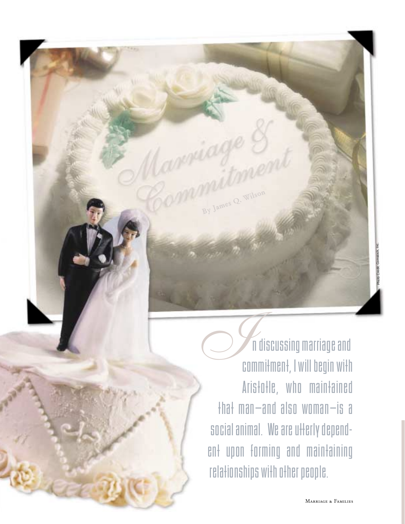n discussing marriage and commitment, I will begin with Aristotle, who maintained that man—and also woman—is a social animal. We are utterly dependent upon forming and maintaining relationships with other people. *I* 

By James Q. Wilson

noto Credit: Comstock, Inc. Photo Credit: Comstock, Inc.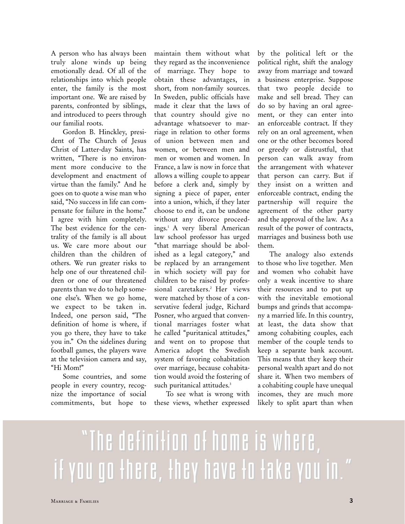A person who has always been truly alone winds up being emotionally dead. Of all of the relationships into which people enter, the family is the most important one. We are raised by parents, confronted by siblings, and introduced to peers through our familial roots.

Gordon B. Hinckley, president of The Church of Jesus Christ of Latter-day Saints, has written, "There is no environment more conducive to the development and enactment of virtue than the family." And he goes on to quote a wise man who said, "No success in life can compensate for failure in the home." I agree with him completely. The best evidence for the centrality of the family is all about us. We care more about our children than the children of others. We run greater risks to help one of our threatened children or one of our threatened parents than we do to help someone else's. When we go home, we expect to be taken in. Indeed, one person said, "The definition of home is where, if you go there, they have to take you in." On the sidelines during football games, the players wave at the television camera and say, "Hi Mom!"

Some countries, and some people in every country, recognize the importance of social commitments, but hope to

maintain them without what they regard as the inconvenience of marriage. They hope to obtain these advantages, in short, from non-family sources. In Sweden, public officials have made it clear that the laws of that country should give no advantage whatsoever to marriage in relation to other forms of union between men and women, or between men and men or women and women. In France, a law is now in force that allows a willing couple to appear before a clerk and, simply by signing a piece of paper, enter into a union, which, if they later choose to end it, can be undone without any divorce proceedings.1 A very liberal American law school professor has urged "that marriage should be abolished as a legal category," and be replaced by an arrangement in which society will pay for children to be raised by professional caretakers.<sup>2</sup> Her views were matched by those of a conservative federal judge, Richard Posner, who argued that conventional marriages foster what he called "puritanical attitudes," and went on to propose that America adopt the Swedish system of favoring cohabitation over marriage, because cohabitation would avoid the fostering of such puritanical attitudes.<sup>3</sup>

To see what is wrong with these views, whether expressed

by the political left or the political right, shift the analogy away from marriage and toward a business enterprise. Suppose that two people decide to make and sell bread. They can do so by having an oral agreement, or they can enter into an enforceable contract. If they rely on an oral agreement, when one or the other becomes bored or greedy or distrustful, that person can walk away from the arrangement with whatever that person can carry. But if they insist on a written and enforceable contract, ending the partnership will require the agreement of the other party and the approval of the law. As a result of the power of contracts, marriages and business both use them.

The analogy also extends to those who live together. Men and women who cohabit have only a weak incentive to share their resources and to put up with the inevitable emotional bumps and grinds that accompany a married life. In this country, at least, the data show that among cohabiting couples, each member of the couple tends to keep a separate bank account. This means that they keep their personal wealth apart and do not share it. When two members of a cohabiting couple have unequal incomes, they are much more likely to split apart than when

## "The definition of home is where, "The definition of home is where, if you go there, they have to take you in."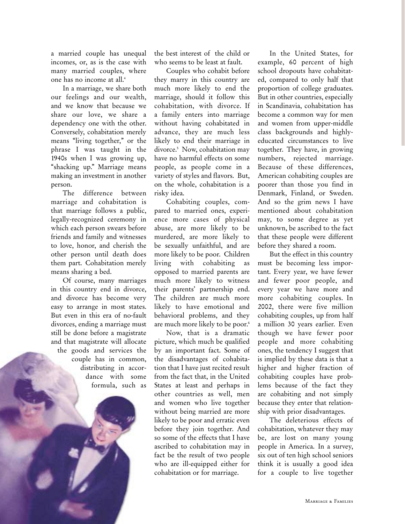a married couple has unequal incomes, or, as is the case with many married couples, where one has no income at all.4

In a marriage, we share both our feelings and our wealth, and we know that because we share our love, we share a dependency one with the other. Conversely, cohabitation merely means "living together," or the phrase I was taught in the 1940s when I was growing up, "shacking up." Marriage means making an investment in another person.

The difference between marriage and cohabitation is that marriage follows a public, legally-recognized ceremony in which each person swears before friends and family and witnesses to love, honor, and cherish the other person until death does them part. Cohabitation merely means sharing a bed.

Of course, many marriages in this country end in divorce, and divorce has become very easy to arrange in most states. But even in this era of no-fault divorces, ending a marriage must still be done before a magistrate and that magistrate will allocate the goods and services the couple has in common, distributing in accordance with some formula, such as the best interest of the child or who seems to be least at fault.

Couples who cohabit before they marry in this country are much more likely to end the marriage, should it follow this cohabitation, with divorce. If a family enters into marriage without having cohabitated in advance, they are much less likely to end their marriage in divorce.<sup>5</sup> Now, cohabitation may have no harmful effects on some people, as people come in a variety of styles and flavors. But, on the whole, cohabitation is a risky idea.

Cohabiting couples, compared to married ones, experience more cases of physical abuse, are more likely to be murdered, are more likely to be sexually unfaithful, and are more likely to be poor. Children living with cohabiting as opposed to married parents are much more likely to witness their parents' partnership end. The children are much more likely to have emotional and behavioral problems, and they are much more likely to be poor.<sup>6</sup>

Now, that is a dramatic picture, which much be qualified by an important fact. Some of the disadvantages of cohabitation that I have just recited result from the fact that, in the United States at least and perhaps in other countries as well, men and women who live together without being married are more likely to be poor and erratic even before they join together. And so some of the effects that I have ascribed to cohabitation may in fact be the result of two people who are ill-equipped either for cohabitation or for marriage.

In the United States, for example, 60 percent of high school dropouts have cohabitated, compared to only half that proportion of college graduates. But in other countries, especially in Scandinavia, cohabitation has become a common way for men and women from upper-middle class backgrounds and highlyeducated circumstances to live together. They have, in growing numbers, rejected marriage. Because of these differences, American cohabiting couples are poorer than those you find in Denmark, Finland, or Sweden. And so the grim news I have mentioned about cohabitation may, to some degree as yet unknown, be ascribed to the fact that these people were different before they shared a room.

But the effect in this country must be becoming less important. Every year, we have fewer and fewer poor people, and every year we have more and more cohabiting couples. In 2002, there were five million cohabiting couples, up from half a million 30 years earlier. Even though we have fewer poor people and more cohabiting ones, the tendency I suggest that is implied by these data is that a higher and higher fraction of cohabiting couples have problems because of the fact they are cohabiting and not simply because they enter that relationship with prior disadvantages.

The deleterious effects of cohabitation, whatever they may be, are lost on many young people in America. In a survey, six out of ten high school seniors think it is usually a good idea for a couple to live together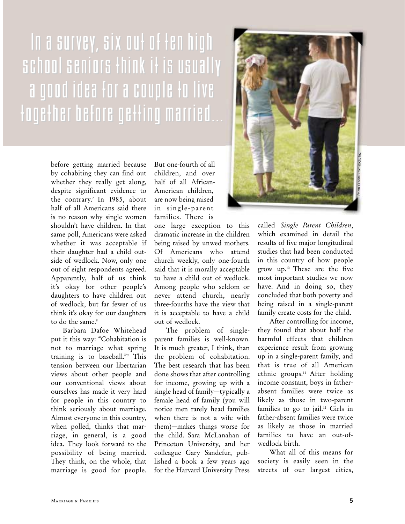## In a survey, six out of ten high school seniors think it is usually a good idea for a couple to liv a good idea for a couple to live  $f$ oge $f$ her before ge $f$  $f$ ing married...

before getting married because by cohabiting they can find out whether they really get along, despite significant evidence to the contrary.<sup>7</sup> In 1985, about half of all Americans said there is no reason why single women shouldn't have children. In that same poll, Americans were asked whether it was acceptable if their daughter had a child outside of wedlock. Now, only one out of eight respondents agreed. Apparently, half of us think it's okay for other people's daughters to have children out of wedlock, but far fewer of us think it's okay for our daughters to do the same.<sup>8</sup>

Barbara Dafoe Whitehead put it this way: "Cohabitation is not to marriage what spring training is to baseball."9 This tension between our libertarian views about other people and our conventional views about ourselves has made it very hard for people in this country to think seriously about marriage. Almost everyone in this country, when polled, thinks that marriage, in general, is a good idea. They look forward to the possibility of being married. They think, on the whole, that marriage is good for people.

But one-fourth of all children, and over half of all African-American children, are now being raised in single-parent families. There is

one large exception to this dramatic increase in the children being raised by unwed mothers. Of Americans who attend church weekly, only one-fourth said that it is morally acceptable to have a child out of wedlock. Among people who seldom or never attend church, nearly three-fourths have the view that it is acceptable to have a child out of wedlock.

The problem of singleparent families is well-known. It is much greater, I think, than the problem of cohabitation. The best research that has been done shows that after controlling for income, growing up with a single head of family—typically a female head of family (you will notice men rarely head families when there is not a wife with them)—makes things worse for the child. Sara McLanahan of Princeton University, and her colleague Gary Sandefur, published a book a few years ago for the Harvard University Press



called *Single Parent Children*, which examined in detail the results of five major longitudinal studies that had been conducted in this country of how people grow up.10 These are the five most important studies we now have. And in doing so, they concluded that both poverty and being raised in a single-parent family create costs for the child.

After controlling for income, they found that about half the harmful effects that children experience result from growing up in a single-parent family, and that is true of all American ethnic groups.<sup>11</sup> After holding income constant, boys in fatherabsent families were twice as likely as those in two-parent families to go to jail.<sup>12</sup> Girls in father-absent families were twice as likely as those in married families to have an out-ofwedlock birth.

What all of this means for society is easily seen in the streets of our largest cities,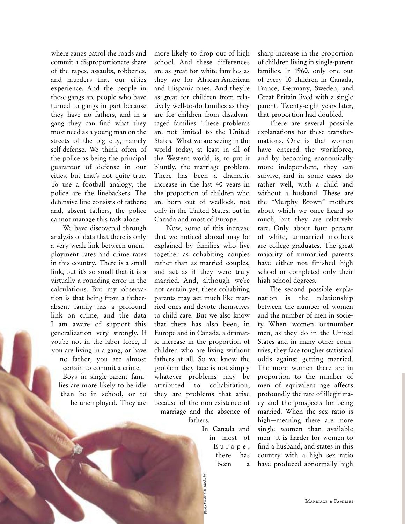where gangs patrol the roads and commit a disproportionate share of the rapes, assaults, robberies, and murders that our cities experience. And the people in these gangs are people who have turned to gangs in part because they have no fathers, and in a gang they can find what they most need as a young man on the streets of the big city, namely self-defense. We think often of the police as being the principal guarantor of defense in our cities, but that's not quite true. To use a football analogy, the police are the linebackers. The defensive line consists of fathers; and, absent fathers, the police cannot manage this task alone.

We have discovered through analysis of data that there is only a very weak link between unemployment rates and crime rates in this country. There is a small link, but it's so small that it is a virtually a rounding error in the calculations. But my observation is that being from a fatherabsent family has a profound link on crime, and the data I am aware of support this generalization very strongly. If you're not in the labor force, if you are living in a gang, or have

no father, you are almost certain to commit a crime. Boys in single-parent families are more likely to be idle than be in school, or to be unemployed. They are

more likely to drop out of high school. And these differences are as great for white families as they are for African-American and Hispanic ones. And they're as great for children from relatively well-to-do families as they are for children from disadvantaged families. These problems are not limited to the United States. What we are seeing in the world today, at least in all of the Western world, is, to put it bluntly, the marriage problem. There has been a dramatic increase in the last 40 years in the proportion of children who are born out of wedlock, not only in the United States, but in Canada and most of Europe.

Now, some of this increase that we noticed abroad may be explained by families who live together as cohabiting couples rather than as married couples, and act as if they were truly married. And, although we're not certain yet, these cohabiting parents may act much like married ones and devote themselves to child care. But we also know that there has also been, in Europe and in Canada, a dramatic increase in the proportion of children who are living without fathers at all. So we know the problem they face is not simply whatever problems may be attributed to cohabitation, they are problems that arise because of the non-existence of marriage and the absence of fathers.

In Canada and

Credit: Comstock, Inc. Photo Credit: Comstock, Inc.

in most of Europe, there has been a sharp increase in the proportion of children living in single-parent families. In 1960, only one out of every 10 children in Canada, France, Germany, Sweden, and Great Britain lived with a single parent. Twenty-eight years later, that proportion had doubled.

There are several possible explanations for these transformations. One is that women have entered the workforce, and by becoming economically more independent, they can survive, and in some cases do rather well, with a child and without a husband. These are the "Murphy Brown" mothers about which we once heard so much, but they are relatively rare. Only about four percent of white, unmarried mothers are college graduates. The great majority of unmarried parents have either not finished high school or completed only their high school degrees.

The second possible explanation is the relationship between the number of women and the number of men in society. When women outnumber men, as they do in the United States and in many other countries, they face tougher statistical odds against getting married. The more women there are in proportion to the number of men of equivalent age affects profoundly the rate of illegitimacy and the prospects for being married. When the sex ratio is high—meaning there are more single women than available men—it is harder for women to find a husband, and states in this country with a high sex ratio have produced abnormally high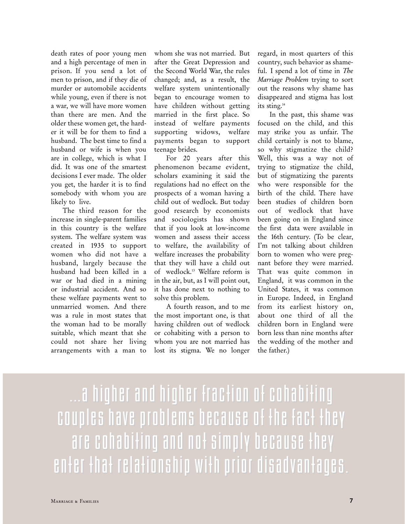death rates of poor young men and a high percentage of men in prison. If you send a lot of men to prison, and if they die of murder or automobile accidents while young, even if there is not a war, we will have more women than there are men. And the older these women get, the harder it will be for them to find a husband. The best time to find a husband or wife is when you are in college, which is what I did. It was one of the smartest decisions I ever made. The older you get, the harder it is to find somebody with whom you are likely to live.

The third reason for the increase in single-parent families in this country is the welfare system. The welfare system was created in 1935 to support women who did not have a husband, largely because the husband had been killed in a war or had died in a mining or industrial accident. And so these welfare payments went to unmarried women. And there was a rule in most states that the woman had to be morally suitable, which meant that she could not share her living arrangements with a man to

whom she was not married. But after the Great Depression and the Second World War, the rules changed; and, as a result, the welfare system unintentionally began to encourage women to have children without getting married in the first place. So instead of welfare payments supporting widows, welfare payments began to support teenage brides.

For 20 years after this phenomenon became evident, scholars examining it said the regulations had no effect on the prospects of a woman having a child out of wedlock. But today good research by economists and sociologists has shown that if you look at low-income women and assess their access to welfare, the availability of welfare increases the probability that they will have a child out of wedlock.13 Welfare reform is in the air, but, as I will point out, it has done next to nothing to solve this problem.

A fourth reason, and to me the most important one, is that having children out of wedlock or cohabiting with a person to whom you are not married has lost its stigma. We no longer

regard, in most quarters of this country, such behavior as shameful. I spend a lot of time in *The Marriage Problem* trying to sort out the reasons why shame has disappeared and stigma has lost its sting.<sup>14</sup>

In the past, this shame was focused on the child, and this may strike you as unfair. The child certainly is not to blame, so why stigmatize the child? Well, this was a way not of trying to stigmatize the child, but of stigmatizing the parents who were responsible for the birth of the child. There have been studies of children born out of wedlock that have been going on in England since the first data were available in the 16th century. (To be clear, I'm not talking about children born to women who were pregnant before they were married. That was quite common in England, it was common in the United States, it was common in Europe. Indeed, in England from its earliest history on, about one third of all the children born in England were born less than nine months after the wedding of the mother and the father.)

...a higher and higher fraction of cohabiting ...a higher and higher fraction of cohabiting couples have problems because of the fact they are cohabiting and not simply because they enter that relationship with prior disadvantages.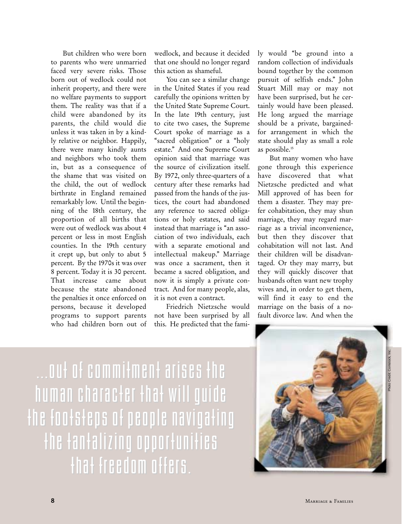But children who were born to parents who were unmarried faced very severe risks. Those born out of wedlock could not inherit property, and there were no welfare payments to support them. The reality was that if a child were abandoned by its parents, the child would die unless it was taken in by a kindly relative or neighbor. Happily, there were many kindly aunts and neighbors who took them in, but as a consequence of the shame that was visited on the child, the out of wedlock birthrate in England remained remarkably low. Until the beginning of the 18th century, the proportion of all births that were out of wedlock was about 4 percent or less in most English counties. In the 19th century it crept up, but only to abut 5 percent. By the 1970s it was over 8 percent. Today it is 30 percent. That increase came about because the state abandoned the penalties it once enforced on persons, because it developed programs to support parents who had children born out of

wedlock, and because it decided that one should no longer regard this action as shameful.

You can see a similar change in the United States if you read carefully the opinions written by the United State Supreme Court. In the late 19th century, just to cite two cases, the Supreme Court spoke of marriage as a "sacred obligation" or a "holy estate." And one Supreme Court opinion said that marriage was the source of civilization itself. By 1972, only three-quarters of a century after these remarks had passed from the hands of the justices, the court had abandoned any reference to sacred obligations or holy estates, and said instead that marriage is "an association of two individuals, each with a separate emotional and intellectual makeup." Marriage was once a sacrament, then it became a sacred obligation, and now it is simply a private contract. And for many people, alas, it is not even a contract.

Friedrich Nietzsche would not have been surprised by all this. He predicted that the family would "be ground into a random collection of individuals bound together by the common pursuit of selfish ends." John Stuart Mill may or may not have been surprised, but he certainly would have been pleased. He long argued the marriage should be a private, bargainedfor arrangement in which the state should play as small a role as possible.15

But many women who have gone through this experience have discovered that what Nietzsche predicted and what Mill approved of has been for them a disaster. They may prefer cohabitation, they may shun marriage, they may regard marriage as a trivial inconvenience, but then they discover that cohabitation will not last. And their children will be disadvantaged. Or they may marry, but they will quickly discover that husbands often want new trophy wives and, in order to get them, will find it easy to end the marriage on the basis of a nofault divorce law. And when the

...out of commitment arises the ...out of commitment arises the human character that will guide human character that will guide the footsteps of people navigating the fantalizing opportunities that freedom offers.

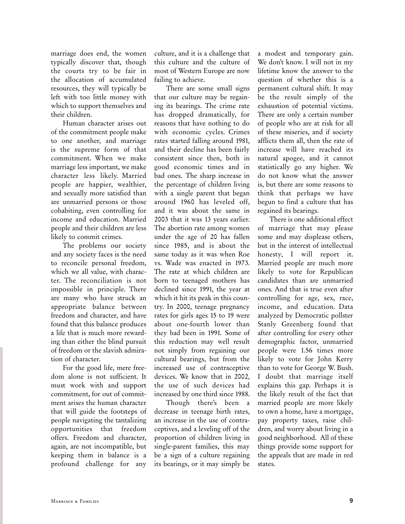marriage does end, the women typically discover that, though the courts try to be fair in the allocation of accumulated resources, they will typically be left with too little money with which to support themselves and their children.

Human character arises out of the commitment people make to one another, and marriage is the supreme form of that commitment. When we make marriage less important, we make character less likely. Married people are happier, wealthier, and sexually more satisfied than are unmarried persons or those cohabiting, even controlling for income and education. Married people and their children are less likely to commit crimes.

The problems our society and any society faces is the need to reconcile personal freedom, which we all value, with character. The reconciliation is not impossible in principle. There are many who have struck an appropriate balance between freedom and character, and have found that this balance produces a life that is much more rewarding than either the blind pursuit of freedom or the slavish admiration of character.

For the good life, mere freedom alone is not sufficient. It must work with and support commitment, for out of commitment arises the human character that will guide the footsteps of people navigating the tantalizing opportunities that freedom offers. Freedom and character, again, are not incompatible, but keeping them in balance is a profound challenge for any

culture, and it is a challenge that this culture and the culture of most of Western Europe are now failing to achieve.

There are some small signs that our culture may be regaining its bearings. The crime rate has dropped dramatically, for reasons that have nothing to do with economic cycles. Crimes rates started falling around 1981, and their decline has been fairly consistent since then, both in good economic times and in bad ones. The sharp increase in the percentage of children living with a single parent that began around 1960 has leveled off, and it was about the same in 2003 that it was 13 years earlier. The abortion rate among women under the age of 20 has fallen since 1985, and is about the same today as it was when Roe vs. Wade was enacted in 1973. The rate at which children are born to teenaged mothers has declined since 1991, the year at which it hit its peak in this country. In 2000, teenage pregnancy rates for girls ages 15 to 19 were about one-fourth lower than they had been in 1991. Some of this reduction may well result not simply from regaining our cultural bearings, but from the increased use of contraceptive devices. We know that in 2002, the use of such devices had increased by one third since 1988.

Though there's been a decrease in teenage birth rates, an increase in the use of contraceptives, and a leveling off of the proportion of children living in single-parent families, this may be a sign of a culture regaining its bearings, or it may simply be

a modest and temporary gain. We don't know. I will not in my lifetime know the answer to the question of whether this is a permanent cultural shift. It may be the result simply of the exhaustion of potential victims. There are only a certain number of people who are at risk for all of these miseries, and if society afflicts them all, then the rate of increase will have reached its natural apogee, and it cannot statistically go any higher. We do not know what the answer is, but there are some reasons to think that perhaps we have begun to find a culture that has regained its bearings.

There is one additional effect of marriage that may please some and may displease others, but in the interest of intellectual honesty, I will report it. Married people are much more likely to vote for Republican candidates than are unmarried ones. And that is true even after controlling for age, sex, race, income, and education. Data analyzed by Democratic pollster Stanly Greenberg found that after controlling for every other demographic factor, unmarried people were 1.56 times more likely to vote for John Kerry than to vote for George W. Bush. I doubt that marriage itself explains this gap. Perhaps it is the likely result of the fact that married people are more likely to own a home, have a mortgage, pay property taxes, raise children, and worry about living in a good neighborhood. All of these things provide some support for the appeals that are made in red states.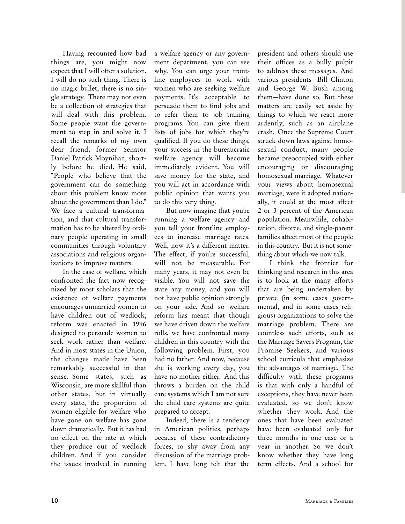Having recounted how bad things are, you might now expect that I will offer a solution. I will do no such thing. There is no magic bullet, there is no single strategy. There may not even be a collection of strategies that will deal with this problem. Some people want the government to step in and solve it. I recall the remarks of my own dear friend, former Senator Daniel Patrick Moynihan, shortly before he died. He said, "People who believe that the government can do something about this problem know more about the government than I do." We face a cultural transformation, and that cultural transformation has to be altered by ordinary people operating in small communities through voluntary associations and religious organizations to improve matters.

In the case of welfare, which confronted the fact now recognized by most scholars that the existence of welfare payments encourages unmarried women to have children out of wedlock, reform was enacted in 1996 designed to persuade women to seek work rather than welfare. And in most states in the Union, the changes made have been remarkably successful in that sense. Some states, such as Wisconsin, are more skillful than other states, but in virtually every state, the proportion of women eligible for welfare who have gone on welfare has gone down dramatically. But it has had no effect on the rate at which they produce out of wedlock children. And if you consider the issues involved in running a welfare agency or any government department, you can see why. You can urge your frontline employees to work with women who are seeking welfare payments. It's acceptable to persuade them to find jobs and to refer them to job training programs. You can give them lists of jobs for which they're qualified. If you do these things, your success in the bureaucratic welfare agency will become immediately evident. You will save money for the state, and you will act in accordance with public opinion that wants you to do this very thing.

But now imagine that you're running a welfare agency and you tell your frontline employees to increase marriage rates. Well, now it's a different matter. The effect, if you're successful, will not be measurable. For many years, it may not even be visible. You will not save the state any money, and you will not have public opinion strongly on your side. And so welfare reform has meant that though we have driven down the welfare rolls, we have confronted many children in this country with the following problem. First, you had no father. And now, because she is working every day, you have no mother either. And this throws a burden on the child care systems which I am not sure the child care systems are quite prepared to accept.

Indeed, there is a tendency in American politics, perhaps because of these contradictory forces, to shy away from any discussion of the marriage problem. I have long felt that the

president and others should use their offices as a bully pulpit to address these messages. And various presidents—Bill Clinton and George W. Bush among them—have done so. But these matters are easily set aside by things to which we react more ardently, such as an airplane crash. Once the Supreme Court struck down laws against homosexual conduct, many people became preoccupied with either encouraging or discouraging homosexual marriage. Whatever your views about homosexual marriage, were it adopted nationally, it could at the most affect 2 or 3 percent of the American population. Meanwhile, cohabitation, divorce, and single-parent families affect most of the people in this country. But it is not something about which we now talk.

I think the frontier for thinking and research in this area is to look at the many efforts that are being undertaken by private (in some cases governmental, and in some cases religious) organizations to solve the marriage problem. There are countless such efforts, such as the Marriage Savers Program, the Promise Seekers, and various school curricula that emphasize the advantages of marriage. The difficulty with these programs is that with only a handful of exceptions, they have never been evaluated, so we don't know whether they work. And the ones that have been evaluated have been evaluated only for three months in one case or a year in another. So we don't know whether they have long term effects. And a school for